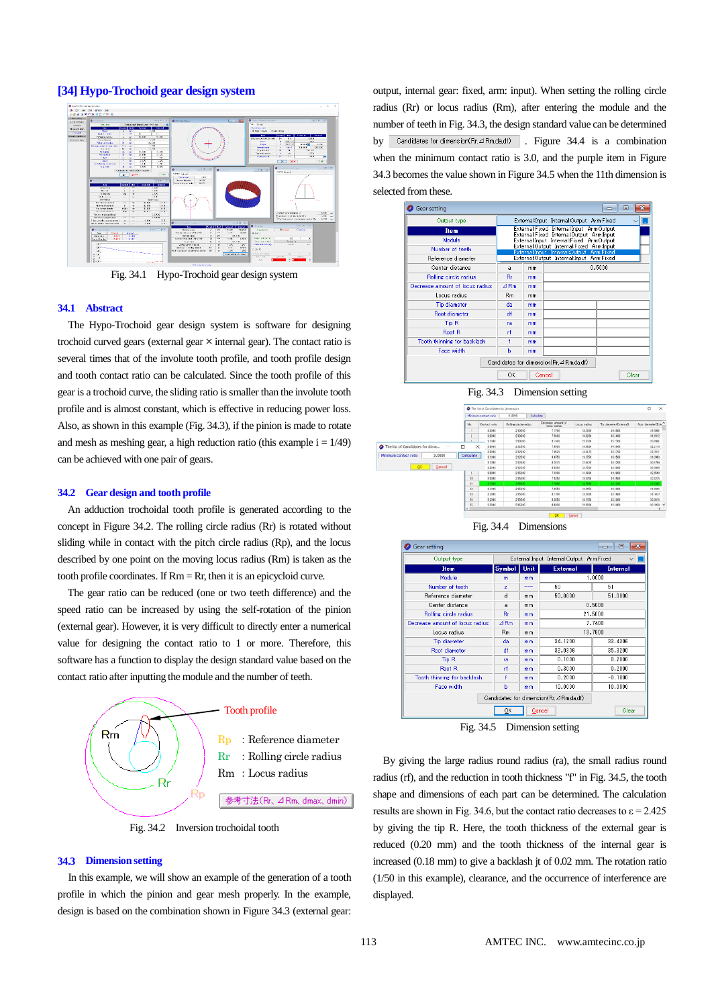# **[34] Hypo-Trochoid gear design system**



Fig. 34.1 Hypo-Trochoid gear design system

## **34.1 Abstract**

The Hypo-Trochoid gear design system is software for designing trochoid curved gears (external gear  $\times$  internal gear). The contact ratio is several times that of the involute tooth profile, and tooth profile design and tooth contact ratio can be calculated. Since the tooth profile of this gear is a trochoid curve, the sliding ratio is smaller than the involute tooth profile and is almost constant, which is effective in reducing power loss. Also, as shown in this example (Fig. 34.3), if the pinion is made to rotate and mesh as meshing gear, a high reduction ratio (this example  $i = 1/49$ ) can be achieved with one pair of gears.

#### **34.2 Gear design and tooth profile**

An adduction trochoidal tooth profile is generated according to the concept in Figure 34.2. The rolling circle radius (Rr) is rotated without sliding while in contact with the pitch circle radius (Rp), and the locus described by one point on the moving locus radius (Rm) is taken as the tooth profile coordinates. If  $Rm = Rr$ , then it is an epicycloid curve.

The gear ratio can be reduced (one or two teeth difference) and the speed ratio can be increased by using the self-rotation of the pinion (external gear). However, it is very difficult to directly enter a numerical value for designing the contact ratio to 1 or more. Therefore, this software has a function to display the design standard value based on the contact ratio after inputting the module and the number of teeth.



Fig. 34.2 Inversion trochoidal tooth

### **34.3 Dimension setting**

In this example, we will show an example of the generation of a tooth profile in which the pinion and gear mesh properly. In the example, design is based on the combination shown in Figure 34.3 (external gear: output, internal gear: fixed, arm: input). When setting the rolling circle radius (Rr) or locus radius (Rm), after entering the module and the number of teeth in Fig. 34.3, the design standard value can be determined by Candidates for dimension(Rr,  $\Delta$  Rm, da, df) . Figure 34.4 is a combination when the minimum contact ratio is 3.0, and the purple item in Figure 34.3 becomes the value shown in Figure 34.5 when the 11th dimension is selected from these.





Fig. 34.4 Dimensions



Fig. 34.5 Dimension setting

By giving the large radius round radius (ra), the small radius round radius (rf), and the reduction in tooth thickness "f" in Fig. 34.5, the tooth shape and dimensions of each part can be determined. The calculation results are shown in Fig. 34.6, but the contact ratio decreases to  $\varepsilon = 2.425$ by giving the tip R. Here, the tooth thickness of the external gear is reduced (0.20 mm) and the tooth thickness of the internal gear is increased (0.18 mm) to give a backlash jt of 0.02 mm. The rotation ratio (1/50 in this example), clearance, and the occurrence of interference are displayed.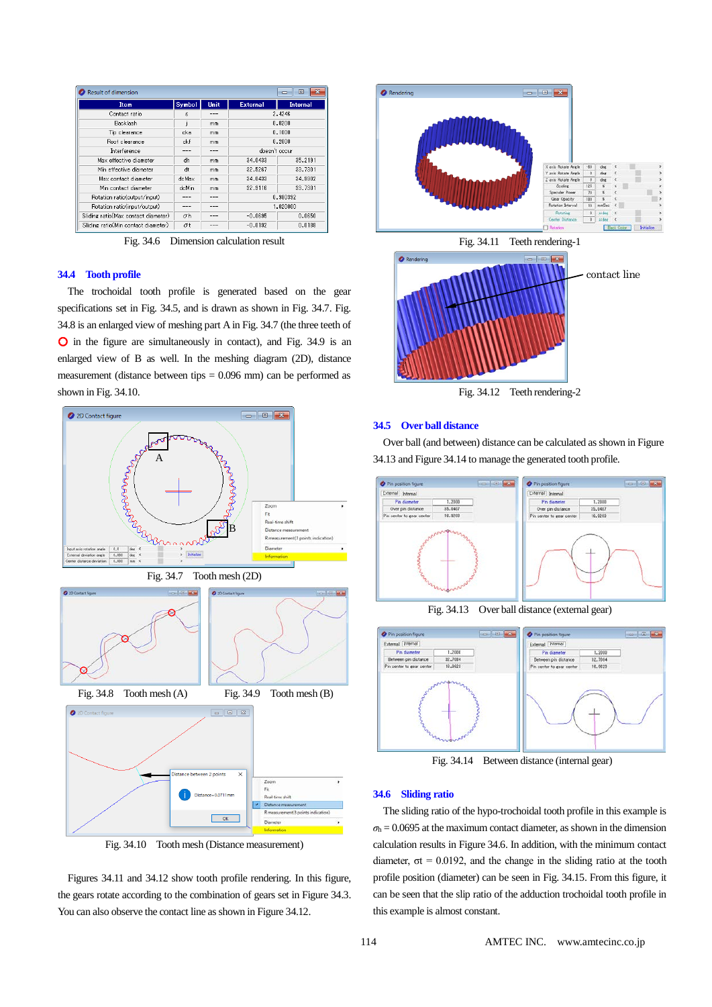| <b>Result of dimension</b><br>$\Box$<br>$\Box$ |        |      |                 |                 |  |  |
|------------------------------------------------|--------|------|-----------------|-----------------|--|--|
| <b>Item</b>                                    | Symbol | Unit | <b>External</b> | <b>Internal</b> |  |  |
| Contact ratio                                  | ε      |      | 2.4246          |                 |  |  |
| <b>Backlash</b>                                |        | mm   | 0.0200          |                 |  |  |
| Tip clearance                                  | cka    | mm   | 0.1000          |                 |  |  |
| Root clearance                                 | ckf    | mm   | 0.2000          |                 |  |  |
| Interference                                   |        | ---  | doesn't occur   |                 |  |  |
| Max effective diameter                         | dh     | mm   | 34.0433         | 35.2191         |  |  |
| Min effective diameter                         | dt     | mm   | 32.5267         | 33,7301         |  |  |
| Max contact diameter                           | doMax  | mm   | 34.0433         | 34.9902         |  |  |
| Min contact diameter                           | dcMin  | mm   | 32.9116         | 33,7301         |  |  |
| Rotation ratio(output/input)                   |        | ---  | 0.980392        |                 |  |  |
| Rotation ratio(input/output)                   | ---    | ---  | 1.020000        |                 |  |  |
| Sliding ratio(Max contact diameter)            | σh     | ---  | $-0.0695$       | 0.0650          |  |  |
| Sliding ratio(Min contact diameter)            | σt     | ---  | $-0.0192$       | 0.0188          |  |  |

Fig. 34.6 Dimension calculation result

# **34.4 Tooth profile**

The trochoidal tooth profile is generated based on the gear specifications set in Fig. 34.5, and is drawn as shown in Fig. 34.7. Fig. 34.8 is an enlarged view of meshing part A in Fig. 34.7 (the three teeth of ○ in the figure are simultaneously in contact), and Fig. 34.9 is an enlarged view of B as well. In the meshing diagram (2D), distance measurement (distance between tips  $= 0.096$  mm) can be performed as shown in Fig. 34.10.



Fig. 34.10 Tooth mesh (Distance measurement)



Fig. 34.12 Teeth rendering-2

## **34.5 Over ball distance**

Over ball (and between) distance can be calculated as shown in Figure 34.13 and Figure 34.14 to manage the generated tooth profile.



Fig. 34.13 Over ball distance (external gear)



Fig. 34.14 Between distance (internal gear)

# **34.6 Sliding ratio**

The sliding ratio of the hypo-trochoidal tooth profile in this example is  $\sigma_h$  = 0.0695 at the maximum contact diameter, as shown in the dimension calculation results in Figure 34.6. In addition, with the minimum contact diameter,  $\sigma t = 0.0192$ , and the change in the sliding ratio at the tooth profile position (diameter) can be seen in Fig. 34.15. From this figure, it can be seen that the slip ratio of the adduction trochoidal tooth profile in this example is almost constant.

Figures 34.11 and 34.12 show tooth profile rendering. In this figure, the gears rotate according to the combination of gears set in Figure 34.3. You can also observe the contact line as shown in Figure 34.12.